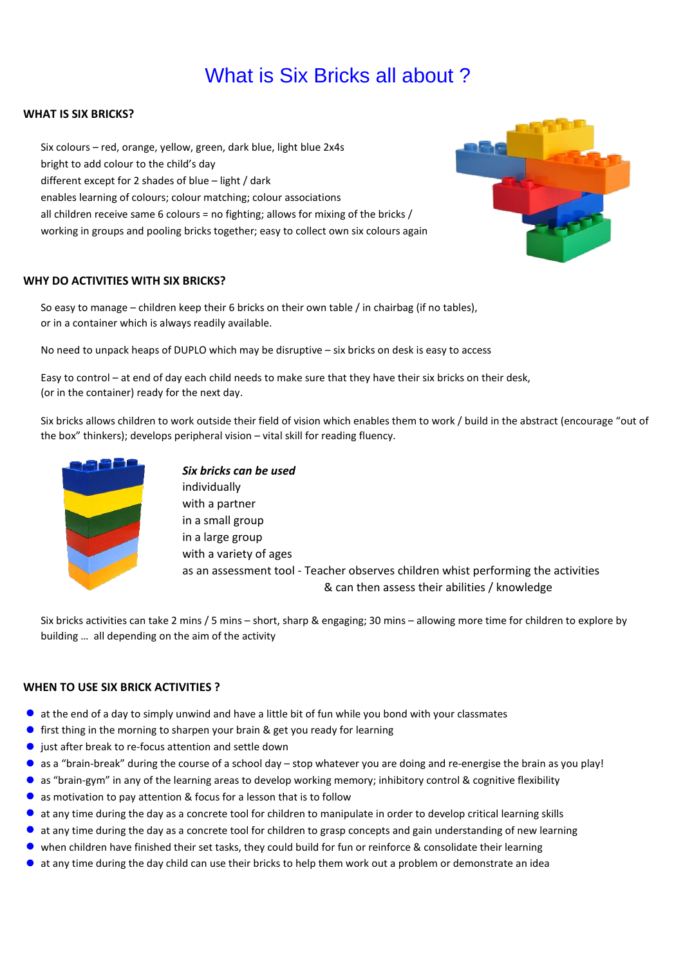# What is Six Bricks all about ?

# **WHAT IS SIX BRICKS?**

Six colours – red, orange, yellow, green, dark blue, light blue 2x4s bright to add colour to the child's day different except for 2 shades of blue – light / dark enables learning of colours; colour matching; colour associations all children receive same 6 colours = no fighting; allows for mixing of the bricks / working in groups and pooling bricks together; easy to collect own six colours again

### **WHY DO ACTIVITIES WITH SIX BRICKS?**

So easy to manage – children keep their 6 bricks on their own table / in chairbag (if no tables), or in a container which is always readily available.

No need to unpack heaps of DUPLO which may be disruptive – six bricks on desk is easy to access

Easy to control – at end of day each child needs to make sure that they have their six bricks on their desk, (or in the container) ready for the next day.

Six bricks allows children to work outside their field of vision which enables them to work / build in the abstract (encourage "out of the box" thinkers); develops peripheral vision – vital skill for reading fluency.



*Six bricks can be used* individually with a partner in a small group in a large group with a variety of ages as an assessment tool - Teacher observes children whist performing the activities & can then assess their abilities / knowledge

Six bricks activities can take 2 mins / 5 mins – short, sharp & engaging; 30 mins – allowing more time for children to explore by building … all depending on the aim of the activity

# **WHEN TO USE SIX BRICK ACTIVITIES ?**

- $\bullet$  at the end of a day to simply unwind and have a little bit of fun while you bond with your classmates
- **o** first thing in the morning to sharpen your brain & get you ready for learning
- $\bullet$  just after break to re-focus attention and settle down
- l as a "brain-break" during the course of a school day stop whatever you are doing and re-energise the brain as you play!
- **a** as "brain-gym" in any of the learning areas to develop working memory; inhibitory control & cognitive flexibility
- $\bullet$  as motivation to pay attention & focus for a lesson that is to follow
- $\bullet$  at any time during the day as a concrete tool for children to manipulate in order to develop critical learning skills
- $\bullet$  at any time during the day as a concrete tool for children to grasp concepts and gain understanding of new learning
- **.** when children have finished their set tasks, they could build for fun or reinforce & consolidate their learning
- $\bullet$  at any time during the day child can use their bricks to help them work out a problem or demonstrate an idea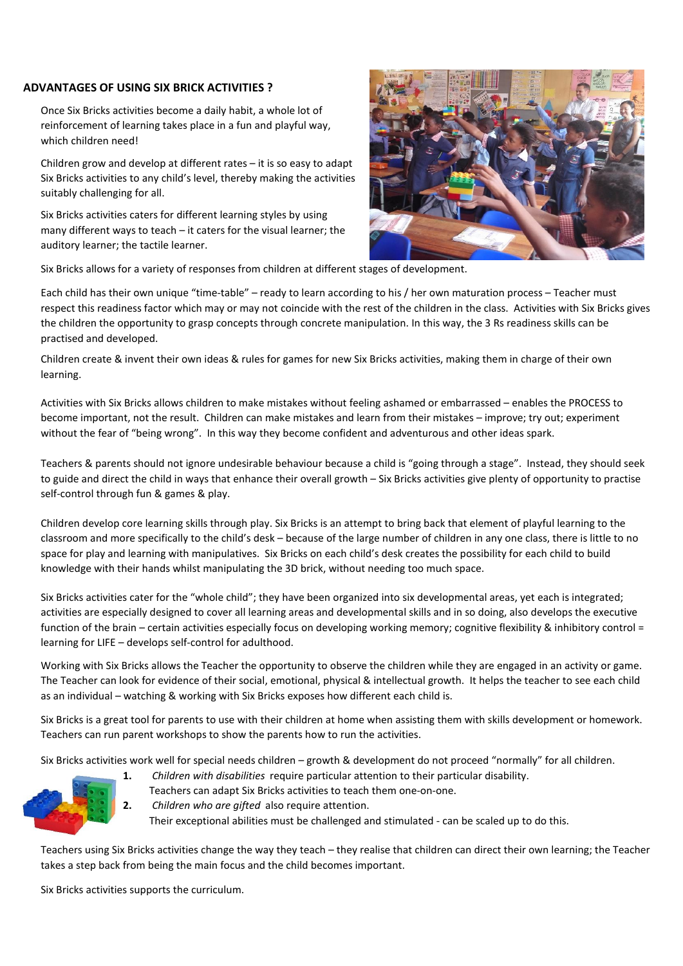# **ADVANTAGES OF USING SIX BRICK ACTIVITIES ?**

Once Six Bricks activities become a daily habit, a whole lot of reinforcement of learning takes place in a fun and playful way, which children need!

Children grow and develop at different rates – it is so easy to adapt Six Bricks activities to any child's level, thereby making the activities suitably challenging for all.

Six Bricks activities caters for different learning styles by using many different ways to teach – it caters for the visual learner; the auditory learner; the tactile learner.



Six Bricks allows for a variety of responses from children at different stages of development.

Each child has their own unique "time-table" – ready to learn according to his / her own maturation process – Teacher must respect this readiness factor which may or may not coincide with the rest of the children in the class. Activities with Six Bricks gives the children the opportunity to grasp concepts through concrete manipulation. In this way, the 3 Rs readiness skills can be practised and developed.

Children create & invent their own ideas & rules for games for new Six Bricks activities, making them in charge of their own learning.

Activities with Six Bricks allows children to make mistakes without feeling ashamed or embarrassed – enables the PROCESS to become important, not the result. Children can make mistakes and learn from their mistakes – improve; try out; experiment without the fear of "being wrong". In this way they become confident and adventurous and other ideas spark.

Teachers & parents should not ignore undesirable behaviour because a child is "going through a stage". Instead, they should seek to guide and direct the child in ways that enhance their overall growth – Six Bricks activities give plenty of opportunity to practise self-control through fun & games & play.

Children develop core learning skills through play. Six Bricks is an attempt to bring back that element of playful learning to the classroom and more specifically to the child's desk – because of the large number of children in any one class, there is little to no space for play and learning with manipulatives. Six Bricks on each child's desk creates the possibility for each child to build knowledge with their hands whilst manipulating the 3D brick, without needing too much space.

Six Bricks activities cater for the "whole child"; they have been organized into six developmental areas, yet each is integrated; activities are especially designed to cover all learning areas and developmental skills and in so doing, also develops the executive function of the brain – certain activities especially focus on developing working memory; cognitive flexibility & inhibitory control = learning for LIFE – develops self-control for adulthood.

Working with Six Bricks allows the Teacher the opportunity to observe the children while they are engaged in an activity or game. The Teacher can look for evidence of their social, emotional, physical & intellectual growth. It helps the teacher to see each child as an individual – watching & working with Six Bricks exposes how different each child is.

Six Bricks is a great tool for parents to use with their children at home when assisting them with skills development or homework. Teachers can run parent workshops to show the parents how to run the activities.

Six Bricks activities work well for special needs children – growth & development do not proceed "normally" for all children.



- Teachers can adapt Six Bricks activities to teach them one-on-one.
- **2.** *Children who are gifted* also require attention.

Their exceptional abilities must be challenged and stimulated - can be scaled up to do this.

Teachers using Six Bricks activities change the way they teach – they realise that children can direct their own learning; the Teacher takes a step back from being the main focus and the child becomes important.

Six Bricks activities supports the curriculum.